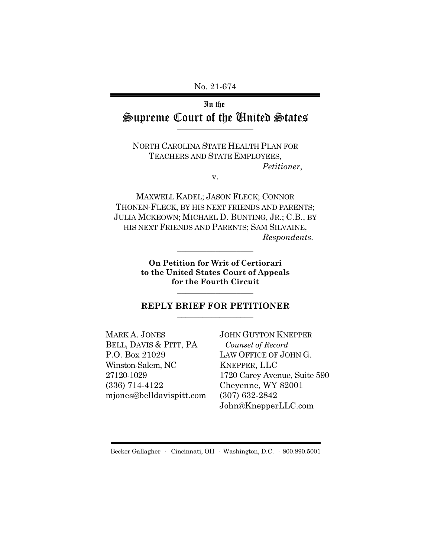No. 21-674

## In the Supreme Court of the United States  $\overline{\phantom{a}}$  , where  $\overline{\phantom{a}}$

NORTH CAROLINA STATE HEALTH PLAN FOR TEACHERS AND STATE EMPLOYEES, *Petitioner*,

v.

MAXWELL KADEL; JASON FLECK; CONNOR THONEN-FLECK, BY HIS NEXT FRIENDS AND PARENTS; JULIA MCKEOWN; MICHAEL D. BUNTING, JR.; C.B., BY HIS NEXT FRIENDS AND PARENTS; SAM SILVAINE, *Respondents.*

> **On Petition for Writ of Certiorari to the United States Court of Appeals for the Fourth Circuit** \_\_\_\_\_\_\_\_\_\_\_\_\_\_\_\_\_\_

\_\_\_\_\_\_\_\_\_\_\_\_\_\_\_\_\_\_

#### **REPLY BRIEF FOR PETITIONER** \_\_\_\_\_\_\_\_\_\_\_\_\_\_\_\_\_\_

MARK A. JONES BELL, DAVIS & PITT, PA P.O. Box 21029 Winston-Salem, NC 27120-1029 (336) 714-4122 mjones@belldavispitt.com JOHN GUYTON KNEPPER *Counsel of Record* LAW OFFICE OF JOHN G. KNEPPER, LLC 1720 Carey Avenue, Suite 590 Cheyenne, WY 82001 (307) 632-2842 John@KnepperLLC.com

Becker Gallagher · Cincinnati, OH · Washington, D.C. · 800.890.5001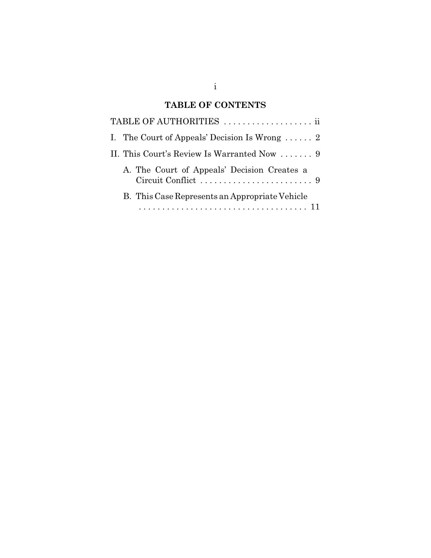# **TABLE OF CONTENTS**

| TABLE OF AUTHORITIES                           |
|------------------------------------------------|
| I. The Court of Appeals' Decision Is Wrong  2  |
| II. This Court's Review Is Warranted Now  9    |
| A. The Court of Appeals' Decision Creates a    |
| B. This Case Represents an Appropriate Vehicle |
|                                                |

i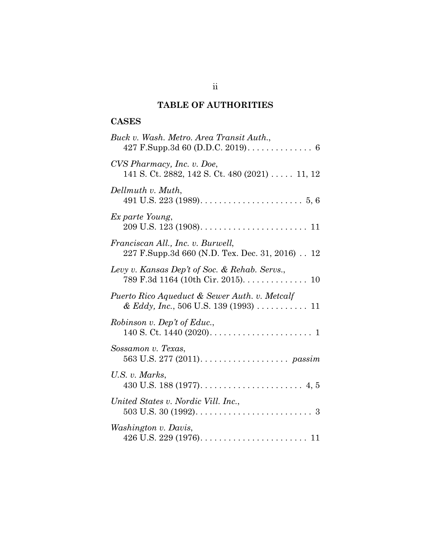# **TABLE OF AUTHORITIES**

# **CASES**

| Buck v. Wash. Metro. Area Transit Auth.,                                                         |
|--------------------------------------------------------------------------------------------------|
| CVS Pharmacy, Inc. v. Doe,<br>141 S. Ct. 2882, 142 S. Ct. 480 (2021) 11, 12                      |
| Dellmuth v. Muth,<br>491 U.S. 223 (1989). $\dots \dots \dots \dots \dots \dots \dots \dots$ 5, 6 |
| Ex parte Young,                                                                                  |
| Franciscan All., Inc. v. Burwell,<br>227 F.Supp.3d 660 (N.D. Tex. Dec. 31, 2016). 12             |
| Levy v. Kansas Dep't of Soc. & Rehab. Servs.,<br>789 F.3d 1164 (10th Cir. 2015). 10              |
| Puerto Rico Aqueduct & Sewer Auth. v. Metcalf                                                    |
| Robinson v. Dep't of Educ.,                                                                      |
| Sossamon v. Texas,                                                                               |
| U.S. v. Marks,                                                                                   |
| United States v. Nordic Vill. Inc.,                                                              |
| Washington v. Davis,                                                                             |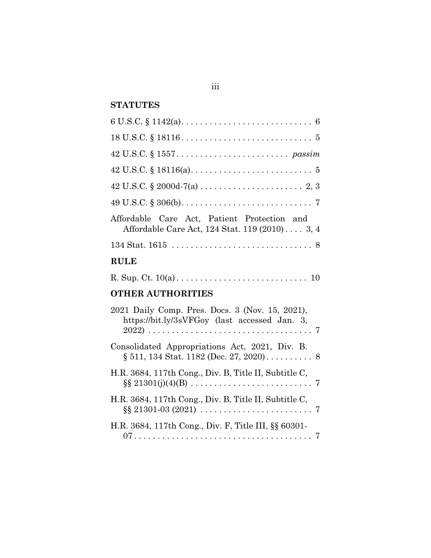# **STATUTES**

| Affordable Care Act, Patient Protection and<br>Affordable Care Act, 124 Stat. 119 (2010) 3, 4 |  |  |
|-----------------------------------------------------------------------------------------------|--|--|
|                                                                                               |  |  |
| <b>RULE</b>                                                                                   |  |  |
|                                                                                               |  |  |

## **OTHER AUTHORITIES**

| 2021 Daily Comp. Pres. Docs. 3 (Nov. 15, 2021),<br>https://bit.ly/3sVFGoy (last accessed Jan. 3,                                  |
|-----------------------------------------------------------------------------------------------------------------------------------|
| Consolidated Appropriations Act, 2021, Div. B.                                                                                    |
| H.R. 3684, 117th Cong., Div. B, Title II, Subtitle C,                                                                             |
| H.R. 3684, 117th Cong., Div. B, Title II, Subtitle C,<br>$\S\S 21301-03(2021) \ldots \ldots \ldots \ldots \ldots \ldots \ldots 7$ |
| H.R. 3684, 117th Cong., Div. F, Title III, §§ 60301-                                                                              |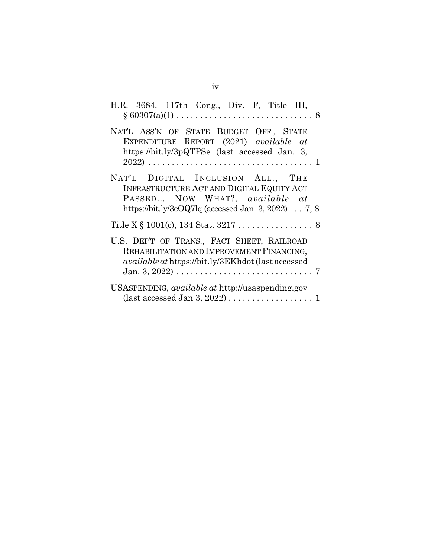| H.R. 3684, 117th Cong., Div. F, Title III,                                                                                                                                       |
|----------------------------------------------------------------------------------------------------------------------------------------------------------------------------------|
| NAT'L ASS'N OF STATE BUDGET OFF., STATE<br>EXPENDITURE REPORT (2021) available at<br>https://bit.ly/3pQTPSe (last accessed Jan. 3,                                               |
| NAT'L DIGITAL INCLUSION ALL., THE<br>INFRASTRUCTURE ACT AND DIGITAL EQUITY ACT<br>PASSED NOW WHAT?, available at<br>https://bit.ly/3eOQ7lq (accessed Jan. 3, 2022) $\ldots$ 7, 8 |
| Title X $\S$ 1001(c), 134 Stat. 3217 8                                                                                                                                           |
| U.S. DEP'T OF TRANS., FACT SHEET, RAILROAD<br>REHABILITATION AND IMPROVEMENT FINANCING,<br>available at https://bit.ly/3EKhdot (last accessed                                    |
| USASPENDING, available at http://usaspending.gov<br>(last accessed Jan 3, 2022) $\ldots \ldots \ldots \ldots \ldots 1$                                                           |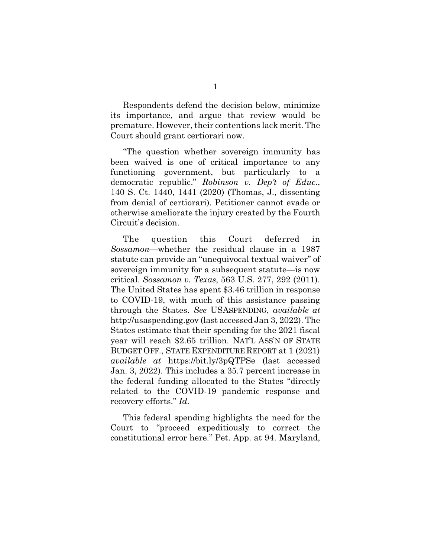Respondents defend the decision below, minimize its importance, and argue that review would be premature. However, their contentions lack merit. The Court should grant certiorari now.

"The question whether sovereign immunity has been waived is one of critical importance to any functioning government, but particularly to a democratic republic." *Robinson v. Dep't of Educ.*, 140 S. Ct. 1440, 1441 (2020) (Thomas, J., dissenting from denial of certiorari). Petitioner cannot evade or otherwise ameliorate the injury created by the Fourth Circuit's decision.

The question this Court deferred in *Sossamon*—whether the residual clause in a 1987 statute can provide an "unequivocal textual waiver" of sovereign immunity for a subsequent statute—is now critical. *Sossamon v. Texas*, 563 U.S. 277, 292 (2011). The United States has spent \$3.46 trillion in response to COVID-19, with much of this assistance passing through the States. *See* USASPENDING, *available at* http://usaspending.gov (last accessed Jan 3, 2022). The States estimate that their spending for the 2021 fiscal year will reach \$2.65 trillion. NAT'L ASS'N OF STATE BUDGET OFF., STATE EXPENDITURE REPORT at 1 (2021) *available at* https://bit.ly/3pQTPSe (last accessed Jan. 3, 2022). This includes a 35.7 percent increase in the federal funding allocated to the States "directly related to the COVID-19 pandemic response and recovery efforts." *Id.*

This federal spending highlights the need for the Court to "proceed expeditiously to correct the constitutional error here." Pet. App. at 94. Maryland,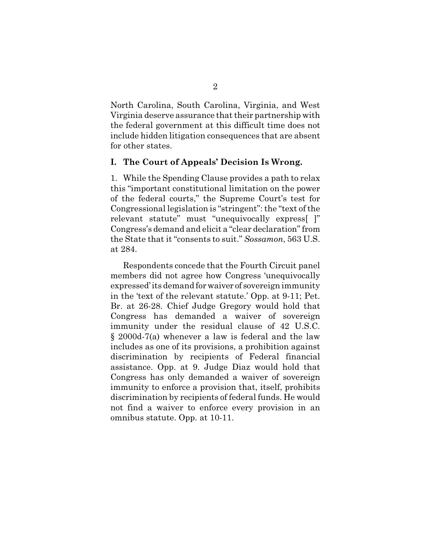North Carolina, South Carolina, Virginia, and West Virginia deserve assurance that their partnership with the federal government at this difficult time does not include hidden litigation consequences that are absent for other states.

#### **I. The Court of Appeals' Decision Is Wrong.**

1. While the Spending Clause provides a path to relax this "important constitutional limitation on the power of the federal courts," the Supreme Court's test for Congressional legislation is "stringent": the "text of the relevant statute" must "unequivocally express[ ]" Congress's demand and elicit a "clear declaration" from the State that it "consents to suit." *Sossamon*, 563 U.S. at 284.

Respondents concede that the Fourth Circuit panel members did not agree how Congress 'unequivocally expressed' its demand for waiver of sovereign immunity in the 'text of the relevant statute.' Opp. at 9-11; Pet. Br. at 26-28. Chief Judge Gregory would hold that Congress has demanded a waiver of sovereign immunity under the residual clause of 42 U.S.C. § 2000d-7(a) whenever a law is federal and the law includes as one of its provisions, a prohibition against discrimination by recipients of Federal financial assistance. Opp. at 9. Judge Diaz would hold that Congress has only demanded a waiver of sovereign immunity to enforce a provision that, itself, prohibits discrimination by recipients of federal funds. He would not find a waiver to enforce every provision in an omnibus statute. Opp. at 10-11.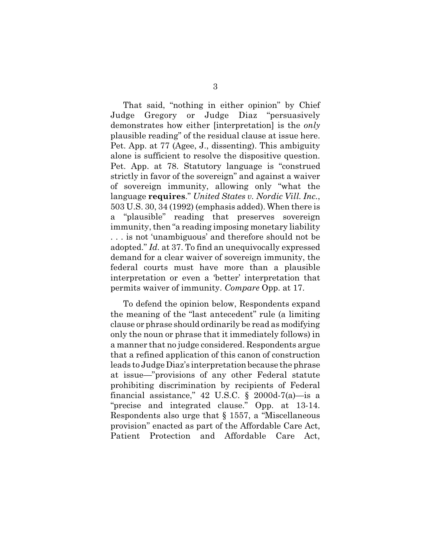That said, "nothing in either opinion" by Chief Judge Gregory or Judge Diaz "persuasively demonstrates how either [interpretation] is the *only* plausible reading" of the residual clause at issue here. Pet. App. at 77 (Agee, J., dissenting). This ambiguity alone is sufficient to resolve the dispositive question. Pet. App. at 78. Statutory language is "construed strictly in favor of the sovereign" and against a waiver of sovereign immunity, allowing only "what the language **requires**." *United States v. Nordic Vill. Inc.*, 503 U.S. 30, 34 (1992) (emphasis added). When there is a "plausible" reading that preserves sovereign immunity, then "a reading imposing monetary liability . . . is not 'unambiguous' and therefore should not be adopted." *Id.* at 37. To find an unequivocally expressed demand for a clear waiver of sovereign immunity, the federal courts must have more than a plausible interpretation or even a 'better' interpretation that permits waiver of immunity. *Compare* Opp. at 17.

To defend the opinion below, Respondents expand the meaning of the "last antecedent" rule (a limiting clause or phrase should ordinarily be read as modifying only the noun or phrase that it immediately follows) in a manner that no judge considered. Respondents argue that a refined application of this canon of construction leads to Judge Diaz's interpretation because the phrase at issue—"provisions of any other Federal statute prohibiting discrimination by recipients of Federal financial assistance," 42 U.S.C.  $\S$  2000d-7(a)—is a "precise and integrated clause." Opp. at 13-14. Respondents also urge that § 1557, a "Miscellaneous provision" enacted as part of the Affordable Care Act, Patient Protection and Affordable Care Act,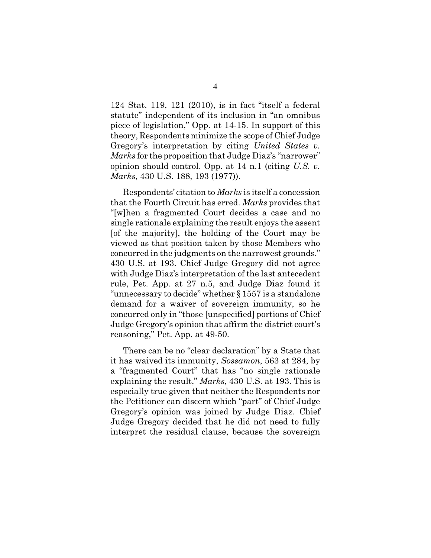124 Stat. 119, 121 (2010), is in fact "itself a federal statute" independent of its inclusion in "an omnibus piece of legislation," Opp. at 14-15. In support of this theory, Respondents minimize the scope of Chief Judge Gregory's interpretation by citing *United States v. Marks* for the proposition that Judge Diaz's "narrower" opinion should control. Opp. at 14 n.1 (citing *U.S. v. Marks*, 430 U.S. 188, 193 (1977)).

Respondents' citation to *Marks* is itself a concession that the Fourth Circuit has erred. *Marks* provides that "[w]hen a fragmented Court decides a case and no single rationale explaining the result enjoys the assent [of the majority], the holding of the Court may be viewed as that position taken by those Members who concurred in the judgments on the narrowest grounds." 430 U.S. at 193. Chief Judge Gregory did not agree with Judge Diaz's interpretation of the last antecedent rule, Pet. App. at 27 n.5, and Judge Diaz found it "unnecessary to decide" whether § 1557 is a standalone demand for a waiver of sovereign immunity, so he concurred only in "those [unspecified] portions of Chief Judge Gregory's opinion that affirm the district court's reasoning," Pet. App. at 49-50.

There can be no "clear declaration" by a State that it has waived its immunity, *Sossamon*, 563 at 284, by a "fragmented Court" that has "no single rationale explaining the result," *Marks*, 430 U.S. at 193. This is especially true given that neither the Respondents nor the Petitioner can discern which "part" of Chief Judge Gregory's opinion was joined by Judge Diaz. Chief Judge Gregory decided that he did not need to fully interpret the residual clause, because the sovereign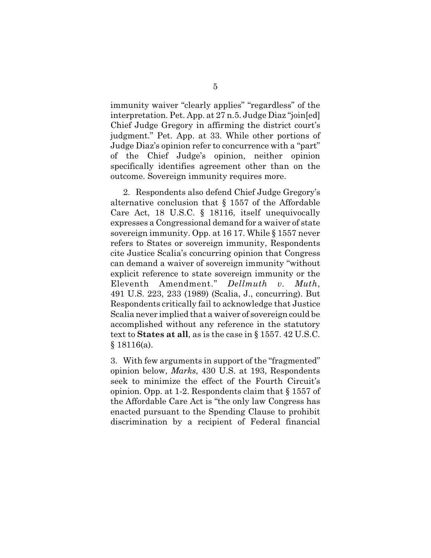immunity waiver "clearly applies" "regardless" of the interpretation. Pet. App. at 27 n.5. Judge Diaz "join[ed] Chief Judge Gregory in affirming the district court's judgment." Pet. App. at 33. While other portions of Judge Diaz's opinion refer to concurrence with a "part" of the Chief Judge's opinion, neither opinion specifically identifies agreement other than on the outcome. Sovereign immunity requires more.

2. Respondents also defend Chief Judge Gregory's alternative conclusion that  $\S$  1557 of the Affordable Care Act, 18 U.S.C. § 18116, itself unequivocally expresses a Congressional demand for a waiver of state sovereign immunity. Opp. at 16 17. While § 1557 never refers to States or sovereign immunity, Respondents cite Justice Scalia's concurring opinion that Congress can demand a waiver of sovereign immunity "without explicit reference to state sovereign immunity or the Eleventh Amendment." *Dellmuth v. Muth*, 491 U.S. 223, 233 (1989) (Scalia, J., concurring). But Respondents critically fail to acknowledge that Justice Scalia never implied that a waiver of sovereign could be accomplished without any reference in the statutory text to **States at all**, as is the case in § 1557. 42 U.S.C. § 18116(a).

3. With few arguments in support of the "fragmented" opinion below, *Marks*, 430 U.S. at 193, Respondents seek to minimize the effect of the Fourth Circuit's opinion. Opp. at 1-2. Respondents claim that § 1557 of the Affordable Care Act is "the only law Congress has enacted pursuant to the Spending Clause to prohibit discrimination by a recipient of Federal financial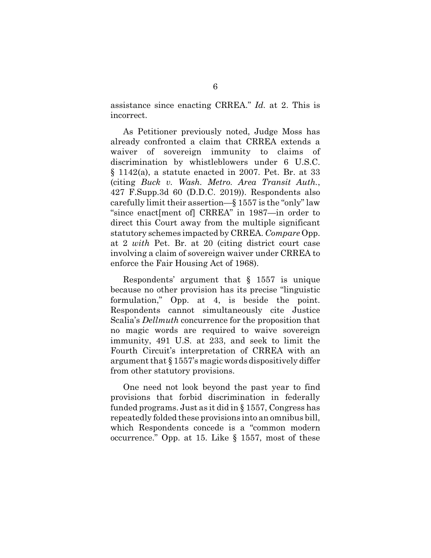assistance since enacting CRREA." *Id.* at 2. This is incorrect.

As Petitioner previously noted, Judge Moss has already confronted a claim that CRREA extends a waiver of sovereign immunity to claims of discrimination by whistleblowers under 6 U.S.C. § 1142(a), a statute enacted in 2007. Pet. Br. at 33 (citing *Buck v. Wash. Metro. Area Transit Auth.*, 427 F.Supp.3d 60 (D.D.C. 2019)). Respondents also carefully limit their assertion—§ 1557 is the "only" law "since enact[ment of] CRREA" in 1987—in order to direct this Court away from the multiple significant statutory schemes impacted by CRREA. *Compare* Opp. at 2 *with* Pet. Br. at 20 (citing district court case involving a claim of sovereign waiver under CRREA to enforce the Fair Housing Act of 1968).

Respondents' argument that § 1557 is unique because no other provision has its precise "linguistic formulation," Opp. at 4, is beside the point. Respondents cannot simultaneously cite Justice Scalia's *Dellmuth* concurrence for the proposition that no magic words are required to waive sovereign immunity, 491 U.S. at 233, and seek to limit the Fourth Circuit's interpretation of CRREA with an argument that § 1557's magic words dispositively differ from other statutory provisions.

One need not look beyond the past year to find provisions that forbid discrimination in federally funded programs. Just as it did in § 1557, Congress has repeatedly folded these provisions into an omnibus bill, which Respondents concede is a "common modern occurrence." Opp. at 15. Like § 1557, most of these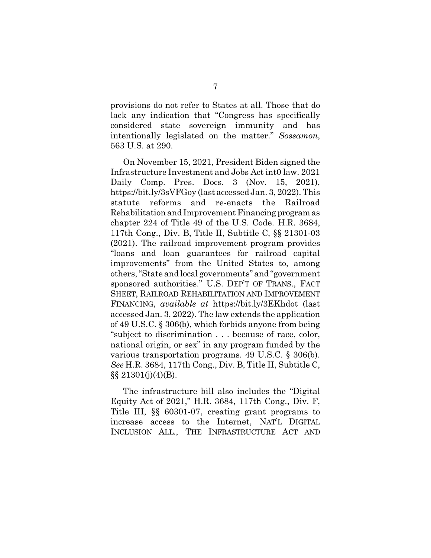provisions do not refer to States at all. Those that do lack any indication that "Congress has specifically considered state sovereign immunity and has intentionally legislated on the matter." *Sossamon*, 563 U.S. at 290.

On November 15, 2021, President Biden signed the Infrastructure Investment and Jobs Act int0 law. 2021 Daily Comp. Pres. Docs. 3 (Nov. 15, 2021), https://bit.ly/3sVFGoy (last accessed Jan. 3, 2022). This statute reforms and re-enacts the Railroad Rehabilitation and Improvement Financing program as chapter 224 of Title 49 of the U.S. Code. H.R. 3684, 117th Cong., Div. B, Title II, Subtitle C, §§ 21301-03 (2021). The railroad improvement program provides "loans and loan guarantees for railroad capital improvements" from the United States to, among others, "State and local governments" and "government sponsored authorities." U.S. DEP'T OF TRANS., FACT SHEET, RAILROAD REHABILITATION AND IMPROVEMENT FINANCING, *available at* https://bit.ly/3EKhdot (last accessed Jan. 3, 2022). The law extends the application of 49 U.S.C. § 306(b), which forbids anyone from being "subject to discrimination . . . because of race, color, national origin, or sex" in any program funded by the various transportation programs. 49 U.S.C. § 306(b). *See* H.R. 3684, 117th Cong., Div. B, Title II, Subtitle C,  $\S\S 21301(j)(4)(B)$ .

The infrastructure bill also includes the "Digital Equity Act of 2021," H.R. 3684, 117th Cong., Div. F, Title III, §§ 60301-07, creating grant programs to increase access to the Internet, NAT'L DIGITAL INCLUSION ALL., THE INFRASTRUCTURE ACT AND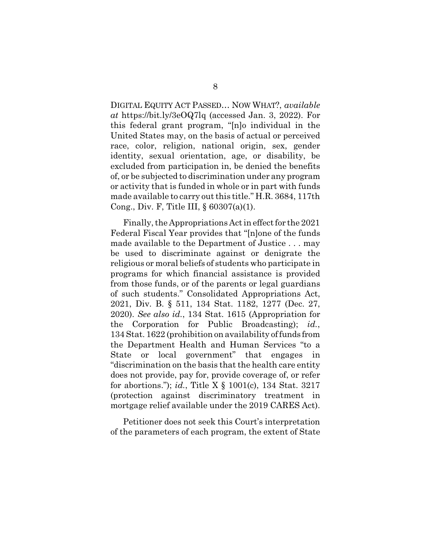DIGITAL EQUITY ACT PASSED… NOW WHAT?, *available at* https://bit.ly/3eOQ7lq (accessed Jan. 3, 2022). For this federal grant program, "[n]o individual in the United States may, on the basis of actual or perceived race, color, religion, national origin, sex, gender identity, sexual orientation, age, or disability, be excluded from participation in, be denied the benefits of, or be subjected to discrimination under any program or activity that is funded in whole or in part with funds made available to carry out this title." H.R. 3684, 117th Cong., Div. F, Title III, § 60307(a)(1).

Finally, the Appropriations Act in effect for the 2021 Federal Fiscal Year provides that "[n]one of the funds made available to the Department of Justice . . . may be used to discriminate against or denigrate the religious or moral beliefs of students who participate in programs for which financial assistance is provided from those funds, or of the parents or legal guardians of such students." Consolidated Appropriations Act, 2021, Div. B. § 511, 134 Stat. 1182, 1277 (Dec. 27, 2020). *See also id.*, 134 Stat. 1615 (Appropriation for the Corporation for Public Broadcasting); *id.*, 134 Stat. 1622 (prohibition on availability of funds from the Department Health and Human Services "to a State or local government" that engages in "discrimination on the basis that the health care entity does not provide, pay for, provide coverage of, or refer for abortions."); *id.*, Title X § 1001(c), 134 Stat. 3217 (protection against discriminatory treatment in mortgage relief available under the 2019 CARES Act).

Petitioner does not seek this Court's interpretation of the parameters of each program, the extent of State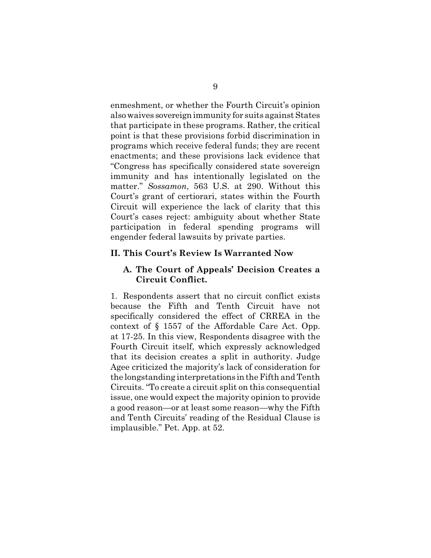enmeshment, or whether the Fourth Circuit's opinion also waives sovereign immunity for suits against States that participate in these programs. Rather, the critical point is that these provisions forbid discrimination in programs which receive federal funds; they are recent enactments; and these provisions lack evidence that "Congress has specifically considered state sovereign immunity and has intentionally legislated on the matter." *Sossamon*, 563 U.S. at 290. Without this Court's grant of certiorari, states within the Fourth Circuit will experience the lack of clarity that this Court's cases reject: ambiguity about whether State participation in federal spending programs will engender federal lawsuits by private parties.

#### **II. This Court's Review Is Warranted Now**

### **A. The Court of Appeals' Decision Creates a Circuit Conflict.**

1. Respondents assert that no circuit conflict exists because the Fifth and Tenth Circuit have not specifically considered the effect of CRREA in the context of § 1557 of the Affordable Care Act. Opp. at 17-25. In this view, Respondents disagree with the Fourth Circuit itself, which expressly acknowledged that its decision creates a split in authority. Judge Agee criticized the majority's lack of consideration for the longstanding interpretations in the Fifth and Tenth Circuits. "To create a circuit split on this consequential issue, one would expect the majority opinion to provide a good reason—or at least some reason—why the Fifth and Tenth Circuits' reading of the Residual Clause is implausible." Pet. App. at 52.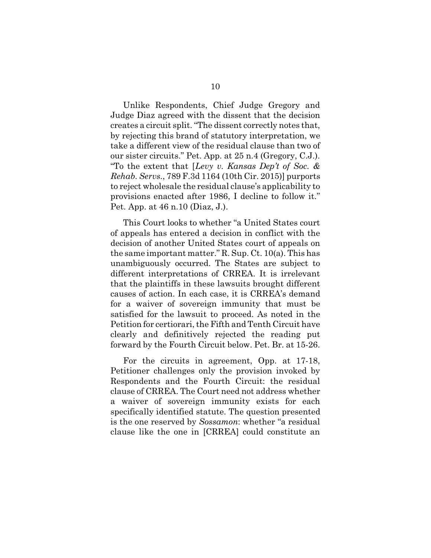Unlike Respondents, Chief Judge Gregory and Judge Diaz agreed with the dissent that the decision creates a circuit split. "The dissent correctly notes that, by rejecting this brand of statutory interpretation, we take a different view of the residual clause than two of our sister circuits." Pet. App. at 25 n.4 (Gregory, C.J.). "To the extent that [*Levy v. Kansas Dep't of Soc. & Rehab. Servs.*, 789 F.3d 1164 (10th Cir. 2015)] purports to reject wholesale the residual clause's applicability to provisions enacted after 1986, I decline to follow it." Pet. App. at 46 n.10 (Diaz, J.).

This Court looks to whether "a United States court of appeals has entered a decision in conflict with the decision of another United States court of appeals on the same important matter." R. Sup. Ct. 10(a). This has unambiguously occurred. The States are subject to different interpretations of CRREA. It is irrelevant that the plaintiffs in these lawsuits brought different causes of action. In each case, it is CRREA's demand for a waiver of sovereign immunity that must be satisfied for the lawsuit to proceed. As noted in the Petition for certiorari, the Fifth and Tenth Circuit have clearly and definitively rejected the reading put forward by the Fourth Circuit below. Pet. Br. at 15-26.

For the circuits in agreement, Opp. at 17-18, Petitioner challenges only the provision invoked by Respondents and the Fourth Circuit: the residual clause of CRREA. The Court need not address whether a waiver of sovereign immunity exists for each specifically identified statute. The question presented is the one reserved by *Sossamon*: whether "a residual clause like the one in [CRREA] could constitute an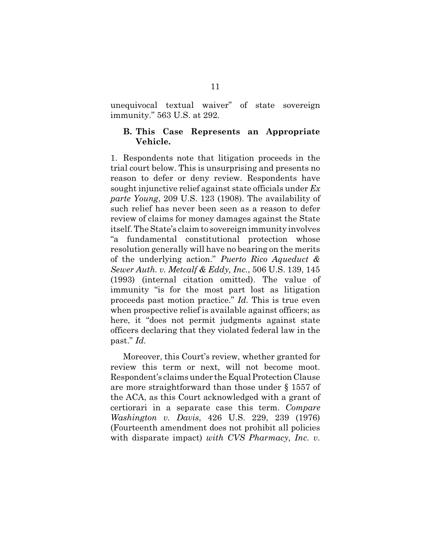unequivocal textual waiver" of state sovereign immunity." 563 U.S. at 292.

#### **B. This Case Represents an Appropriate Vehicle.**

1. Respondents note that litigation proceeds in the trial court below. This is unsurprising and presents no reason to defer or deny review. Respondents have sought injunctive relief against state officials under *Ex parte Young*, 209 U.S. 123 (1908). The availability of such relief has never been seen as a reason to defer review of claims for money damages against the State itself. The State's claim to sovereign immunity involves "a fundamental constitutional protection whose resolution generally will have no bearing on the merits of the underlying action." *Puerto Rico Aqueduct & Sewer Auth. v. Metcalf & Eddy, Inc.*, 506 U.S. 139, 145 (1993) (internal citation omitted). The value of immunity "is for the most part lost as litigation proceeds past motion practice." *Id.* This is true even when prospective relief is available against officers; as here, it "does not permit judgments against state officers declaring that they violated federal law in the past." *Id.*

Moreover, this Court's review, whether granted for review this term or next, will not become moot. Respondent's claims under the Equal Protection Clause are more straightforward than those under § 1557 of the ACA, as this Court acknowledged with a grant of certiorari in a separate case this term. *Compare Washington v. Davis*, 426 U.S. 229, 239 (1976) (Fourteenth amendment does not prohibit all policies with disparate impact) *with CVS Pharmacy, Inc. v.*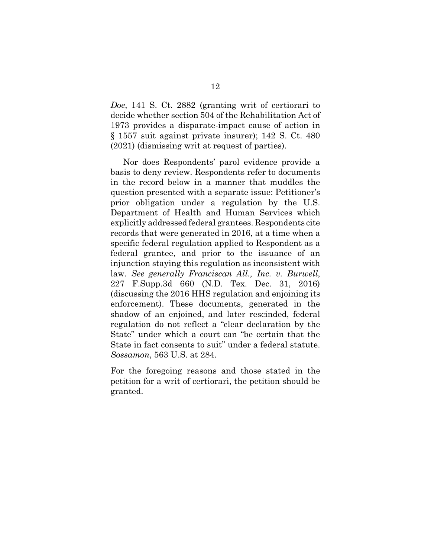*Doe*, 141 S. Ct. 2882 (granting writ of certiorari to decide whether section 504 of the Rehabilitation Act of 1973 provides a disparate-impact cause of action in § 1557 suit against private insurer); 142 S. Ct. 480 (2021) (dismissing writ at request of parties).

Nor does Respondents' parol evidence provide a basis to deny review. Respondents refer to documents in the record below in a manner that muddles the question presented with a separate issue: Petitioner's prior obligation under a regulation by the U.S. Department of Health and Human Services which explicitly addressed federal grantees. Respondents cite records that were generated in 2016, at a time when a specific federal regulation applied to Respondent as a federal grantee, and prior to the issuance of an injunction staying this regulation as inconsistent with law. *See generally Franciscan All., Inc. v. Burwell*, 227 F.Supp.3d 660 (N.D. Tex. Dec. 31, 2016) (discussing the 2016 HHS regulation and enjoining its enforcement). These documents, generated in the shadow of an enjoined, and later rescinded, federal regulation do not reflect a "clear declaration by the State" under which a court can "be certain that the State in fact consents to suit" under a federal statute. *Sossamon*, 563 U.S. at 284.

For the foregoing reasons and those stated in the petition for a writ of certiorari, the petition should be granted.